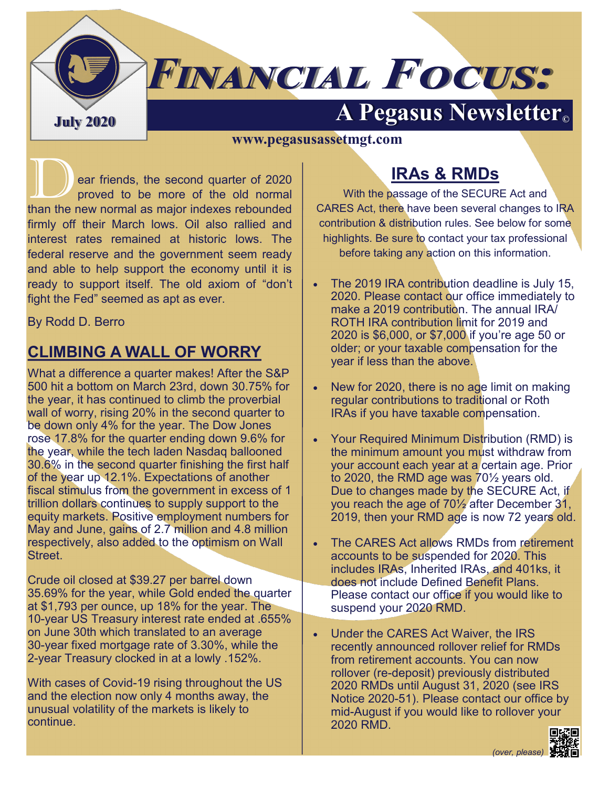# **A Pegasus Newsletter C**

#### **www.pegasusassetmgt.com**

**FINANCIAL FOCUS:** 

ear friends, the second quarter of 2020<br>proved to be more of the old normal<br>than the new normal as major indexes repounded proved to be more of the old normal than the new normal as major indexes rebounded firmly off their March lows. Oil also rallied and interest rates remained at historic lows. The federal reserve and the government seem ready and able to help support the economy until it is ready to support itself. The old axiom of "don't fight the Fed" seemed as apt as ever.

By Rodd D. Berro

## **CLIMBING A WALL OF WORRY**

What a difference a quarter makes! After the S&P 500 hit a bottom on March 23rd, down 30.75% for the year, it has continued to climb the proverbial wall of worry, rising 20% in the second quarter to be down only 4% for the year. The Dow Jones rose 17.8% for the quarter ending down 9.6% for the year, while the tech laden Nasdaq ballooned 30.6% in the second quarter finishing the first half of the year up 12.1%. Expectations of another fiscal stimulus from the government in excess of 1 trillion dollars continues to supply support to the equity markets. Positive employment numbers for May and June, gains of 2.7 million and 4.8 million respectively, also added to the optimism on Wall Street.

Crude oil closed at \$39.27 per barrel down 35.69% for the year, while Gold ended the quarter at \$1,793 per ounce, up 18% for the year. The 10-year US Treasury interest rate ended at .655% on June 30th which translated to an average 30-year fixed mortgage rate of 3.30%, while the 2-year Treasury clocked in at a lowly .152%.

With cases of Covid-19 rising throughout the US and the election now only 4 months away, the unusual volatility of the markets is likely to continue.

# **IRAs & RMDs**

With the passage of the SECURE Act and CARES Act, there have been several changes to IRA contribution & distribution rules. See below for some highlights. Be sure to contact your tax professional before taking any action on this information.

- The 2019 IRA contribution deadline is July 15, 2020. Please contact our office immediately to make a 2019 contribution. The annual IRA/ ROTH IRA contribution limit for 2019 and 2020 is \$6,000, or \$7,000 if you're age 50 or older; or your taxable compensation for the year if less than the above.
- New for 2020, there is no age limit on making regular contributions to traditional or Roth IRAs if you have taxable compensation.
- Your Required Minimum Distribution (RMD) is the minimum amount you must withdraw from your account each year at a certain age. Prior to 2020, the RMD age was 70½ years old. Due to changes made by the SECURE Act, if you reach the age of 70½ after December 31, 2019, then your RMD age is now 72 years old.
- The CARES Act allows RMDs from retirement accounts to be suspended for 2020. This includes IRAs, Inherited IRAs, and 401ks, it does not include Defined Benefit Plans. Please contact our office if you would like to suspend your 2020 RMD.
- Under the CARES Act Waiver, the IRS recently announced rollover relief for RMDs from retirement accounts. You can now rollover (re-deposit) previously distributed 2020 RMDs until August 31, 2020 (see IRS Notice 2020-51). Please contact our office by mid-August if you would like to rollover your 2020 RMD.